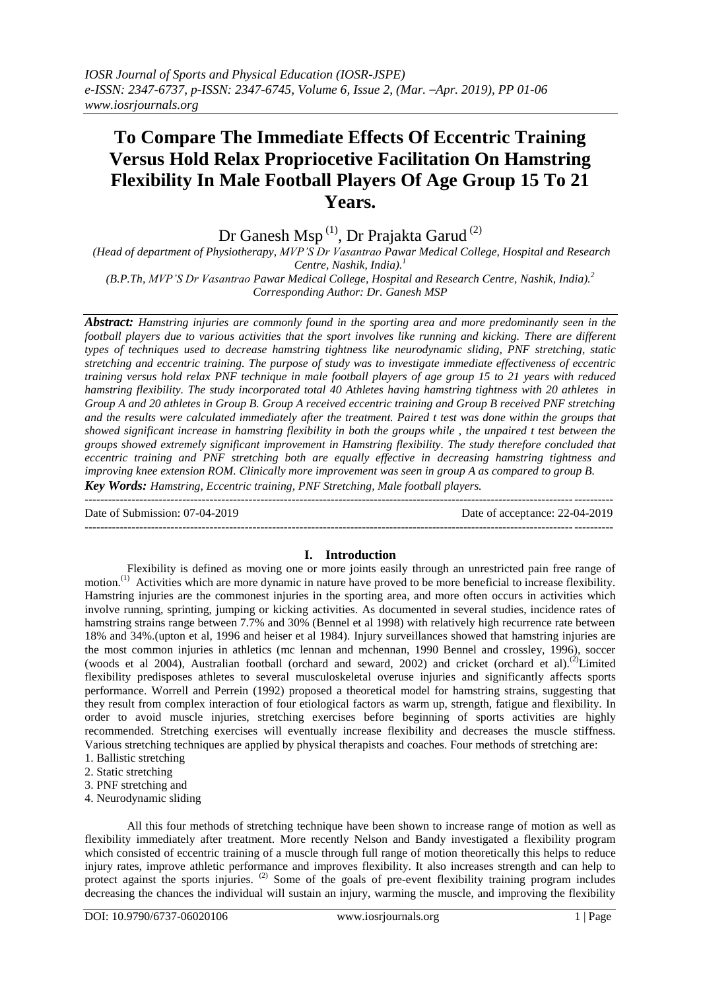# **To Compare The Immediate Effects Of Eccentric Training Versus Hold Relax Propriocetive Facilitation On Hamstring Flexibility In Male Football Players Of Age Group 15 To 21 Years.**

Dr Ganesh Msp<sup>(1)</sup>, Dr Prajakta Garud<sup>(2)</sup>

*(Head of department of Physiotherapy, MVP'S Dr Vasantrao Pawar Medical College, Hospital and Research Centre, Nashik, India). 1*

*(B.P.Th, MVP'S Dr Vasantrao Pawar Medical College, Hospital and Research Centre, Nashik, India). 2 Corresponding Author: Dr. Ganesh MSP*

*Abstract: Hamstring injuries are commonly found in the sporting area and more predominantly seen in the football players due to various activities that the sport involves like running and kicking. There are different types of techniques used to decrease hamstring tightness like neurodynamic sliding, PNF stretching, static stretching and eccentric training. The purpose of study was to investigate immediate effectiveness of eccentric training versus hold relax PNF technique in male football players of age group 15 to 21 years with reduced hamstring flexibility. The study incorporated total 40 Athletes having hamstring tightness with 20 athletes in Group A and 20 athletes in Group B. Group A received eccentric training and Group B received PNF stretching and the results were calculated immediately after the treatment. Paired t test was done within the groups that showed significant increase in hamstring flexibility in both the groups while , the unpaired t test between the groups showed extremely significant improvement in Hamstring flexibility. The study therefore concluded that eccentric training and PNF stretching both are equally effective in decreasing hamstring tightness and improving knee extension ROM. Clinically more improvement was seen in group A as compared to group B. Key Words: Hamstring, Eccentric training, PNF Stretching, Male football players.*

Date of Submission: 07-04-2019 Date of acceptance: 22-04-2019 ---------------------------------------------------------------------------------------------------------------------------------------

# **I. Introduction**

 $-1.1$ 

Flexibility is defined as moving one or more joints easily through an unrestricted pain free range of motion.<sup>(1)</sup> Activities which are more dynamic in nature have proved to be more beneficial to increase flexibility. Hamstring injuries are the commonest injuries in the sporting area, and more often occurs in activities which involve running, sprinting, jumping or kicking activities. As documented in several studies, incidence rates of hamstring strains range between 7.7% and 30% (Bennel et al 1998) with relatively high recurrence rate between 18% and 34%.(upton et al, 1996 and heiser et al 1984). Injury surveillances showed that hamstring injuries are the most common injuries in athletics (mc lennan and mchennan, 1990 Bennel and crossley, 1996), soccer (woods et al 2004), Australian football (orchard and seward, 2002) and cricket (orchard et al).<sup>(2)</sup>Limited flexibility predisposes athletes to several musculoskeletal overuse injuries and significantly affects sports performance. Worrell and Perrein (1992) proposed a theoretical model for hamstring strains, suggesting that they result from complex interaction of four etiological factors as warm up, strength, fatigue and flexibility. In order to avoid muscle injuries, stretching exercises before beginning of sports activities are highly recommended. Stretching exercises will eventually increase flexibility and decreases the muscle stiffness. Various stretching techniques are applied by physical therapists and coaches. Four methods of stretching are: 1. Ballistic stretching

- 
- 2. Static stretching
- 3. PNF stretching and
- 4. Neurodynamic sliding

All this four methods of stretching technique have been shown to increase range of motion as well as flexibility immediately after treatment. More recently Nelson and Bandy investigated a flexibility program which consisted of eccentric training of a muscle through full range of motion theoretically this helps to reduce injury rates, improve athletic performance and improves flexibility. It also increases strength and can help to protect against the sports injuries.<sup>(2)</sup> Some of the goals of pre-event flexibility training program includes decreasing the chances the individual will sustain an injury, warming the muscle, and improving the flexibility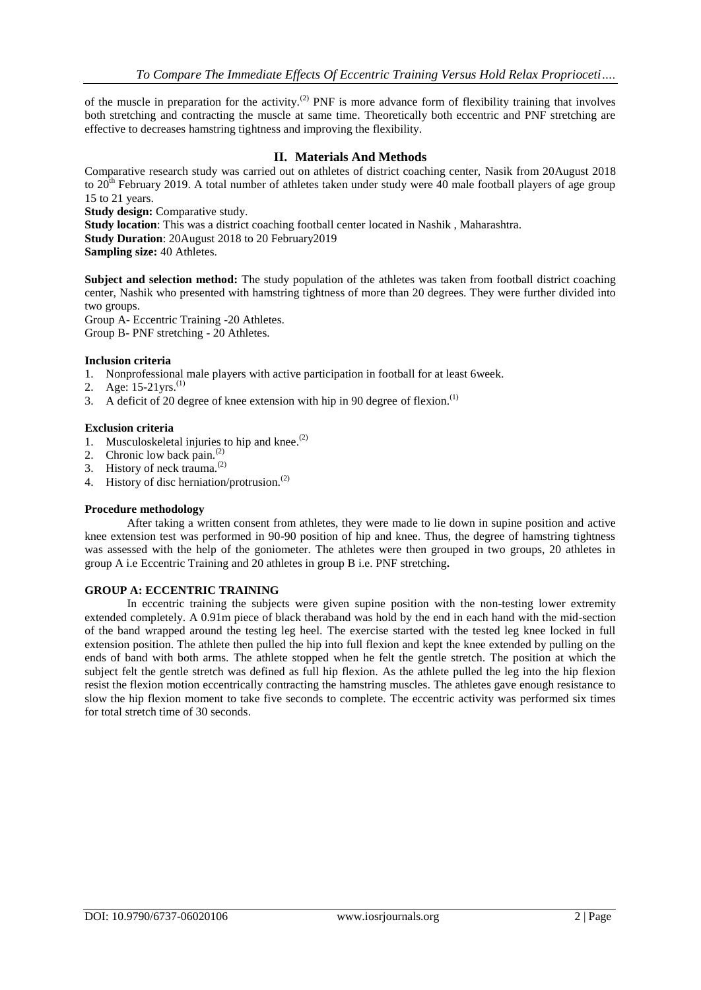of the muscle in preparation for the activity.<sup>(2)</sup> PNF is more advance form of flexibility training that involves both stretching and contracting the muscle at same time. Theoretically both eccentric and PNF stretching are effective to decreases hamstring tightness and improving the flexibility.

### **II. Materials And Methods**

Comparative research study was carried out on athletes of district coaching center, Nasik from 20August 2018 to 20<sup>th</sup> February 2019. A total number of athletes taken under study were 40 male football players of age group 15 to 21 years.

**Study design:** Comparative study.

**Study location**: This was a district coaching football center located in Nashik , Maharashtra.

**Study Duration**: 20August 2018 to 20 February2019

**Sampling size:** 40 Athletes.

**Subject and selection method:** The study population of the athletes was taken from football district coaching center, Nashik who presented with hamstring tightness of more than 20 degrees. They were further divided into two groups.

Group A- Eccentric Training -20 Athletes. Group B- PNF stretching - 20 Athletes.

### **Inclusion criteria**

- 1. Nonprofessional male players with active participation in football for at least 6week.
- 2. Age:  $15{\text -}21$ yrs.<sup>(1)</sup>
- 3. A deficit of 20 degree of knee extension with hip in 90 degree of flexion.<sup>(1)</sup>

### **Exclusion criteria**

- 1. Musculoskeletal injuries to hip and knee. $(2)$
- 2. Chronic low back pain.<sup>(2)</sup>
- 3. History of neck trauma. $^{(2)}$
- 4. History of disc herniation/protrusion.<sup>(2)</sup>

### **Procedure methodology**

After taking a written consent from athletes, they were made to lie down in supine position and active knee extension test was performed in 90-90 position of hip and knee. Thus, the degree of hamstring tightness was assessed with the help of the goniometer. The athletes were then grouped in two groups, 20 athletes in group A i.e Eccentric Training and 20 athletes in group B i.e. PNF stretching**.**

### **GROUP A: ECCENTRIC TRAINING**

In eccentric training the subjects were given supine position with the non-testing lower extremity extended completely. A 0.91m piece of black theraband was hold by the end in each hand with the mid-section of the band wrapped around the testing leg heel. The exercise started with the tested leg knee locked in full extension position. The athlete then pulled the hip into full flexion and kept the knee extended by pulling on the ends of band with both arms. The athlete stopped when he felt the gentle stretch. The position at which the subject felt the gentle stretch was defined as full hip flexion. As the athlete pulled the leg into the hip flexion resist the flexion motion eccentrically contracting the hamstring muscles. The athletes gave enough resistance to slow the hip flexion moment to take five seconds to complete. The eccentric activity was performed six times for total stretch time of 30 seconds.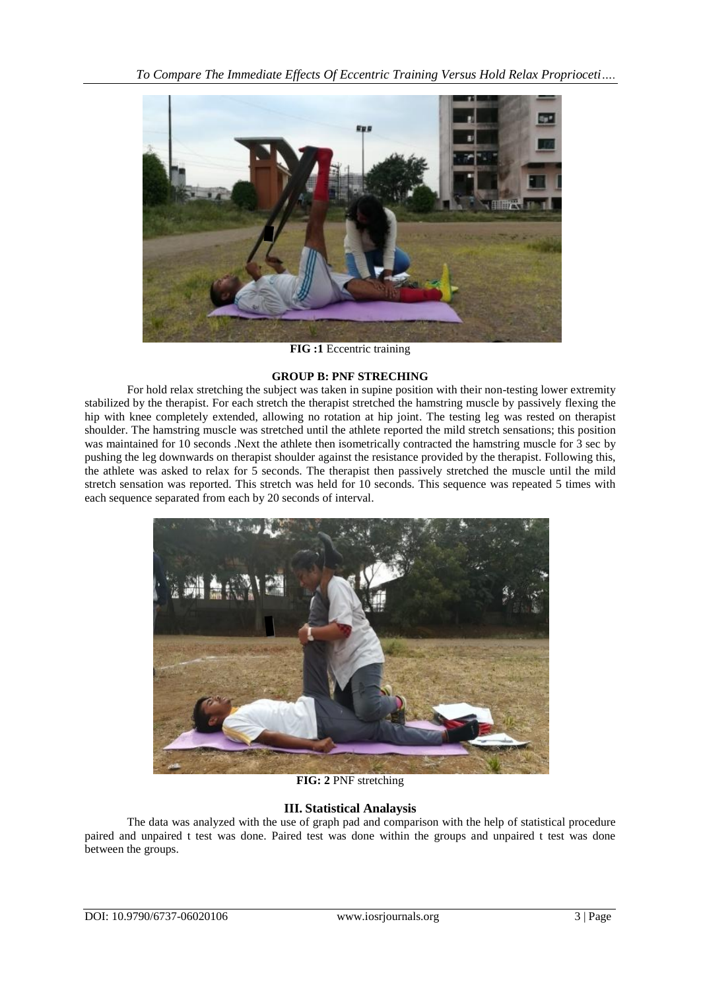

**FIG :1** Eccentric training

### **GROUP B: PNF STRECHING**

For hold relax stretching the subject was taken in supine position with their non-testing lower extremity stabilized by the therapist. For each stretch the therapist stretched the hamstring muscle by passively flexing the hip with knee completely extended, allowing no rotation at hip joint. The testing leg was rested on therapist shoulder. The hamstring muscle was stretched until the athlete reported the mild stretch sensations; this position was maintained for 10 seconds .Next the athlete then isometrically contracted the hamstring muscle for  $\overline{3}$  sec by pushing the leg downwards on therapist shoulder against the resistance provided by the therapist. Following this, the athlete was asked to relax for 5 seconds. The therapist then passively stretched the muscle until the mild stretch sensation was reported. This stretch was held for 10 seconds. This sequence was repeated 5 times with each sequence separated from each by 20 seconds of interval.



**FIG: 2** PNF stretching

# **III. Statistical Analaysis**

The data was analyzed with the use of graph pad and comparison with the help of statistical procedure paired and unpaired t test was done. Paired test was done within the groups and unpaired t test was done between the groups.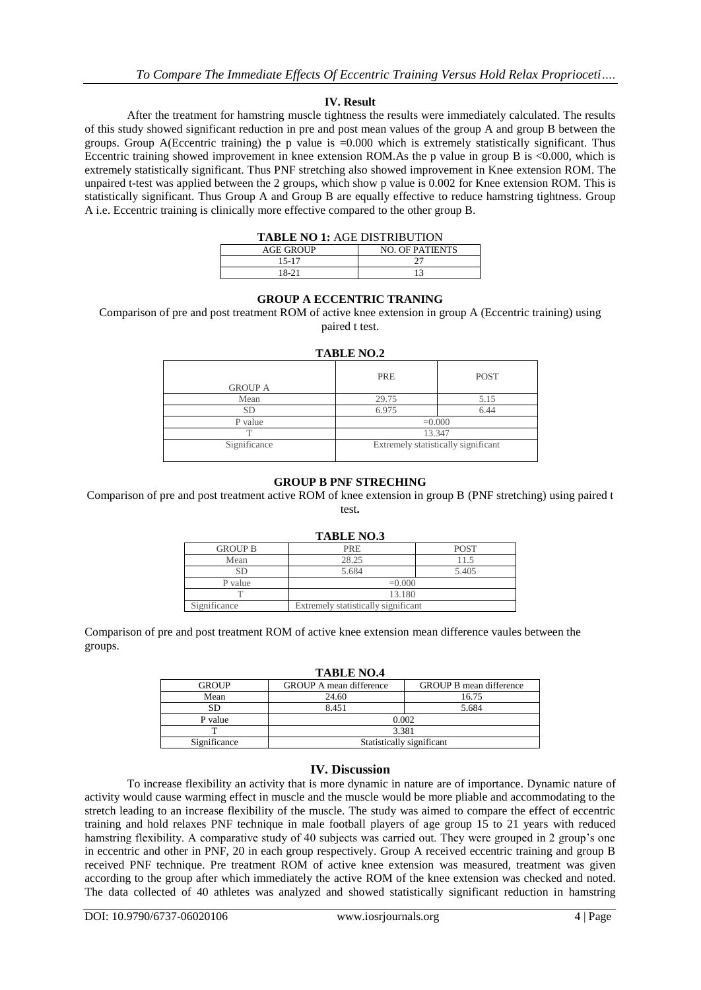### **IV. Result**

After the treatment for hamstring muscle tightness the results were immediately calculated. The results of this study showed significant reduction in pre and post mean values of the group A and group B between the groups. Group A(Eccentric training) the p value is =0.000 which is extremely statistically significant. Thus Eccentric training showed improvement in knee extension ROM.As the p value in group B is <0.000, which is extremely statistically significant. Thus PNF stretching also showed improvement in Knee extension ROM. The unpaired t-test was applied between the 2 groups, which show p value is 0.002 for Knee extension ROM. This is statistically significant. Thus Group A and Group B are equally effective to reduce hamstring tightness. Group A i.e. Eccentric training is clinically more effective compared to the other group B.

| <b>TABLE NO 1: AGE DISTRIBUTION</b> |                        |  |
|-------------------------------------|------------------------|--|
| <b>AGE GROUP</b>                    | <b>NO. OF PATIENTS</b> |  |
| 15-17                               |                        |  |
| 18-21                               |                        |  |

### **GROUP A ECCENTRIC TRANING**

Comparison of pre and post treatment ROM of active knee extension in group A (Eccentric training) using paired t test.

| <b>TABLE NO.2</b> |                                     |             |  |  |
|-------------------|-------------------------------------|-------------|--|--|
| <b>GROUP A</b>    | PRE                                 | <b>POST</b> |  |  |
| Mean              | 29.75                               | 5.15        |  |  |
| <b>SD</b>         | 6.975                               | 6.44        |  |  |
| P value           | $=0.000$                            |             |  |  |
|                   | 13.347                              |             |  |  |
| Significance      | Extremely statistically significant |             |  |  |

### **GROUP B PNF STRECHING**

Comparison of pre and post treatment active ROM of knee extension in group B (PNF stretching) using paired t test**.**

| <b>GROUP B</b> | PRE                                 | <b>POST</b> |  |  |
|----------------|-------------------------------------|-------------|--|--|
| Mean           | 28.25                               |             |  |  |
| SЕ             | 5.684                               | 5.405       |  |  |
| P value        | $=0.000$                            |             |  |  |
|                | 13.180                              |             |  |  |
| Significance   | Extremely statistically significant |             |  |  |

Comparison of pre and post treatment ROM of active knee extension mean difference vaules between the groups.

| <b>TABLE NO.4</b> |                                |                                |  |  |  |
|-------------------|--------------------------------|--------------------------------|--|--|--|
| <b>GROUP</b>      | <b>GROUP A mean difference</b> | <b>GROUP B mean difference</b> |  |  |  |
| Mean              | 24.60                          | 16.75                          |  |  |  |
| SD                | 8.451                          | 5.684                          |  |  |  |
| P value           | 0.002                          |                                |  |  |  |
|                   | 3.381                          |                                |  |  |  |
| Significance      | Statistically significant      |                                |  |  |  |

### **IV. Discussion**

To increase flexibility an activity that is more dynamic in nature are of importance. Dynamic nature of activity would cause warming effect in muscle and the muscle would be more pliable and accommodating to the stretch leading to an increase flexibility of the muscle. The study was aimed to compare the effect of eccentric training and hold relaxes PNF technique in male football players of age group 15 to 21 years with reduced hamstring flexibility. A comparative study of 40 subjects was carried out. They were grouped in 2 group's one in eccentric and other in PNF, 20 in each group respectively. Group A received eccentric training and group B received PNF technique. Pre treatment ROM of active knee extension was measured, treatment was given according to the group after which immediately the active ROM of the knee extension was checked and noted. The data collected of 40 athletes was analyzed and showed statistically significant reduction in hamstring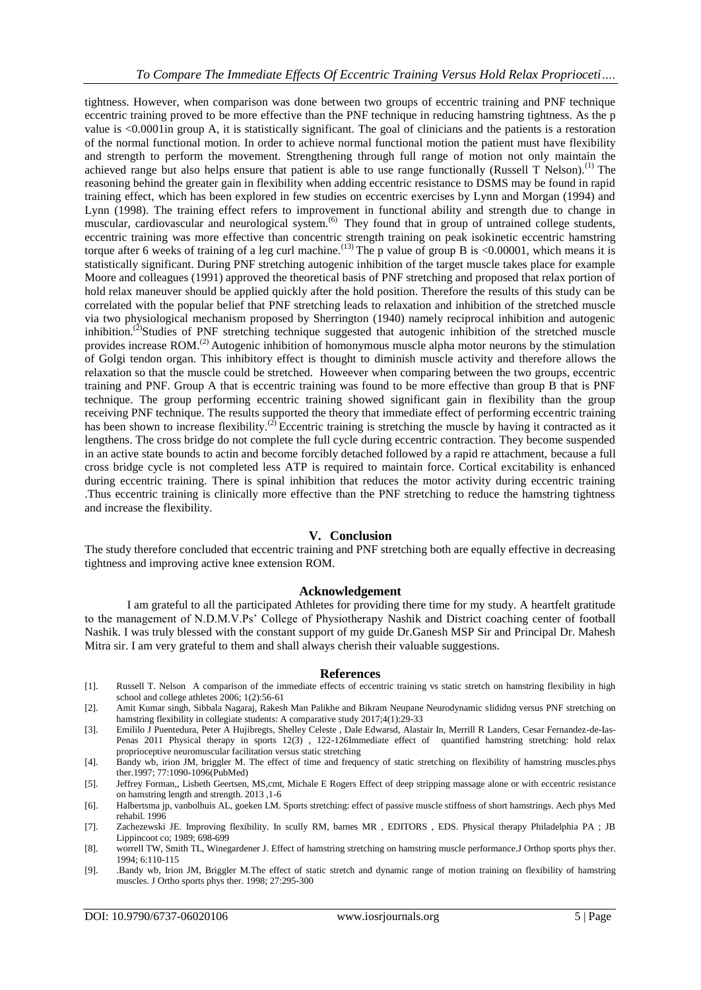tightness. However, when comparison was done between two groups of eccentric training and PNF technique eccentric training proved to be more effective than the PNF technique in reducing hamstring tightness. As the p value is <0.0001in group A, it is statistically significant. The goal of clinicians and the patients is a restoration of the normal functional motion. In order to achieve normal functional motion the patient must have flexibility and strength to perform the movement. Strengthening through full range of motion not only maintain the achieved range but also helps ensure that patient is able to use range functionally (Russell T Nelson).<sup>(1)</sup> The reasoning behind the greater gain in flexibility when adding eccentric resistance to DSMS may be found in rapid training effect, which has been explored in few studies on eccentric exercises by Lynn and Morgan (1994) and Lynn (1998). The training effect refers to improvement in functional ability and strength due to change in muscular, cardiovascular and neurological system.<sup>(6)</sup> They found that in group of untrained college students, eccentric training was more effective than concentric strength training on peak isokinetic eccentric hamstring torque after 6 weeks of training of a leg curl machine.<sup>(13)</sup> The p value of group B is <0.00001, which means it is statistically significant. During PNF stretching autogenic inhibition of the target muscle takes place for example Moore and colleagues (1991) approved the theoretical basis of PNF stretching and proposed that relax portion of hold relax maneuver should be applied quickly after the hold position. Therefore the results of this study can be correlated with the popular belief that PNF stretching leads to relaxation and inhibition of the stretched muscle via two physiological mechanism proposed by Sherrington (1940) namely reciprocal inhibition and autogenic inhibition.<sup>(2)</sup>Studies of PNF stretching technique suggested that autogenic inhibition of the stretched muscle provides increase ROM.<sup>(2)</sup> Autogenic inhibition of homonymous muscle alpha motor neurons by the stimulation of Golgi tendon organ. This inhibitory effect is thought to diminish muscle activity and therefore allows the relaxation so that the muscle could be stretched. Howeever when comparing between the two groups, eccentric training and PNF. Group A that is eccentric training was found to be more effective than group B that is PNF technique. The group performing eccentric training showed significant gain in flexibility than the group receiving PNF technique. The results supported the theory that immediate effect of performing eccentric training has been shown to increase flexibility.<sup>(2)</sup> Eccentric training is stretching the muscle by having it contracted as it lengthens. The cross bridge do not complete the full cycle during eccentric contraction. They become suspended in an active state bounds to actin and become forcibly detached followed by a rapid re attachment, because a full cross bridge cycle is not completed less ATP is required to maintain force. Cortical excitability is enhanced during eccentric training. There is spinal inhibition that reduces the motor activity during eccentric training .Thus eccentric training is clinically more effective than the PNF stretching to reduce the hamstring tightness and increase the flexibility.

### **V. Conclusion**

The study therefore concluded that eccentric training and PNF stretching both are equally effective in decreasing tightness and improving active knee extension ROM.

#### **Acknowledgement**

I am grateful to all the participated Athletes for providing there time for my study. A heartfelt gratitude to the management of N.D.M.V.Ps' College of Physiotherapy Nashik and District coaching center of football Nashik. I was truly blessed with the constant support of my guide Dr.Ganesh MSP Sir and Principal Dr. Mahesh Mitra sir. I am very grateful to them and shall always cherish their valuable suggestions.

#### **References**

- [1]. Russell T. Nelson A comparison of the immediate effects of eccentric training vs static stretch on hamstring flexibility in high school and college athletes 2006; 1(2):56-61
- [2]. Amit Kumar singh, Sibbala Nagaraj, Rakesh Man Palikhe and Bikram Neupane Neurodynamic slididng versus PNF stretching on hamstring flexibility in collegiate students: A comparative study 2017;4(1):29-33
- [3]. Emililo J Puentedura, Peter A Hujibregts, Shelley Celeste , Dale Edwarsd, Alastair In, Merrill R Landers, Cesar Fernandez-de-Ias-Penas 2011 Physical therapy in sports 12(3) , 122-126Immediate effect of quantified hamstring stretching: hold relax proprioceptive neuromuscular facilitation versus static stretching
- [4]. Bandy wb, irion JM, briggler M. The effect of time and frequency of static stretching on flexibility of hamstring muscles.phys ther.1997; 77:1090-1096(PubMed)
- [5]. Jeffrey Forman,, Lisbeth Geertsen, MS,cmt, Michale E Rogers Effect of deep stripping massage alone or with eccentric resistance on hamstring length and strength. 2013 ,1-6
- [6]. Halbertsma jp, vanbolhuis AL, goeken LM. Sports stretching: effect of passive muscle stiffness of short hamstrings. Aech phys Med rehabil. 1996
- [7]. Zachezewski JE. Improving flexibility. In scully RM, barnes MR , EDITORS , EDS. Physical therapy Philadelphia PA ; JB Lippincoot co; 1989; 698-699
- [8]. worrell TW, Smith TL, Winegardener J. Effect of hamstring stretching on hamstring muscle performance.J Orthop sports phys ther. 1994; 6:110-115
- [9]. .Bandy wb, Irion JM, Briggler M.The effect of static stretch and dynamic range of motion training on flexibility of hamstring muscles. J Ortho sports phys ther. 1998; 27:295-300